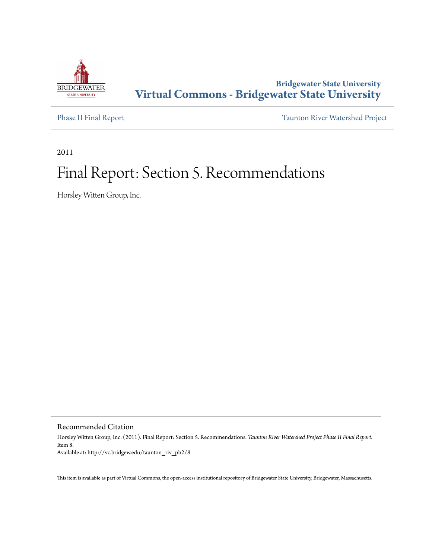

# **Bridgewater State University [Virtual Commons - Bridgewater State University](http://vc.bridgew.edu)**

[Phase II Final Report](http://vc.bridgew.edu/taunton_riv_ph2) [Taunton River Watershed Project](http://vc.bridgew.edu/taunton_riv)

2011

# Final Report: Section 5. Recommendations

Horsley Witten Group, Inc.

Recommended Citation

Horsley Witten Group, Inc. (2011). Final Report: Section 5. Recommendations. *Taunton River Watershed Project Phase II Final Report.* Item 8. Available at: http://vc.bridgew.edu/taunton\_riv\_ph2/8

This item is available as part of Virtual Commons, the open-access institutional repository of Bridgewater State University, Bridgewater, Massachusetts.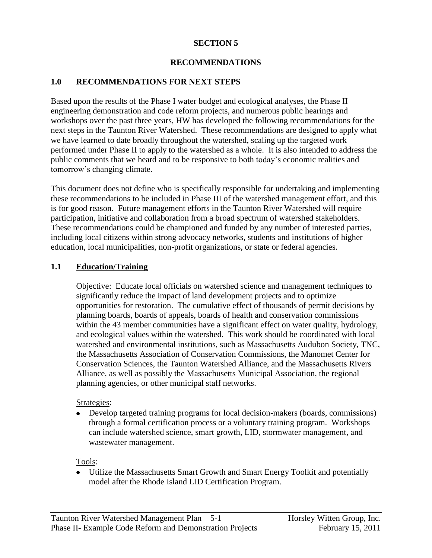## **SECTION 5**

#### **RECOMMENDATIONS**

### **1.0 RECOMMENDATIONS FOR NEXT STEPS**

Based upon the results of the Phase I water budget and ecological analyses, the Phase II engineering demonstration and code reform projects, and numerous public hearings and workshops over the past three years, HW has developed the following recommendations for the next steps in the Taunton River Watershed. These recommendations are designed to apply what we have learned to date broadly throughout the watershed, scaling up the targeted work performed under Phase II to apply to the watershed as a whole. It is also intended to address the public comments that we heard and to be responsive to both today's economic realities and tomorrow's changing climate.

This document does not define who is specifically responsible for undertaking and implementing these recommendations to be included in Phase III of the watershed management effort, and this is for good reason. Future management efforts in the Taunton River Watershed will require participation, initiative and collaboration from a broad spectrum of watershed stakeholders. These recommendations could be championed and funded by any number of interested parties, including local citizens within strong advocacy networks, students and institutions of higher education, local municipalities, non-profit organizations, or state or federal agencies.

#### **1.1 Education/Training**

Objective:Educate local officials on watershed science and management techniques to significantly reduce the impact of land development projects and to optimize opportunities for restoration. The cumulative effect of thousands of permit decisions by planning boards, boards of appeals, boards of health and conservation commissions within the 43 member communities have a significant effect on water quality, hydrology, and ecological values within the watershed. This work should be coordinated with local watershed and environmental institutions, such as Massachusetts Audubon Society, TNC, the Massachusetts Association of Conservation Commissions, the Manomet Center for Conservation Sciences, the Taunton Watershed Alliance, and the Massachusetts Rivers Alliance, as well as possibly the Massachusetts Municipal Association, the regional planning agencies, or other municipal staff networks.

#### Strategies:

Develop targeted training programs for local decision-makers (boards, commissions) through a formal certification process or a voluntary training program. Workshops can include watershed science, smart growth, LID, stormwater management, and wastewater management.

Tools:

Utilize the Massachusetts Smart Growth and Smart Energy Toolkit and potentially model after the Rhode Island LID Certification Program.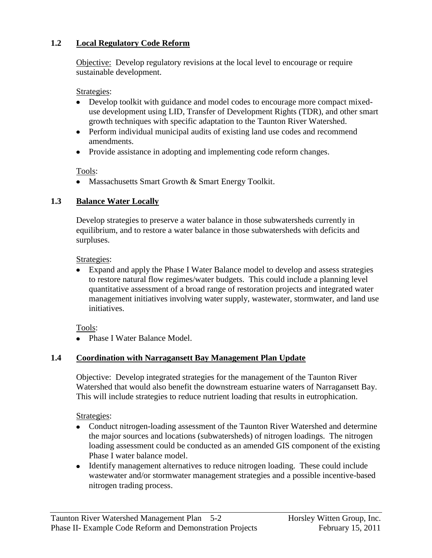# **1.2 Local Regulatory Code Reform**

Objective: Develop regulatory revisions at the local level to encourage or require sustainable development.

Strategies:

- Develop toolkit with guidance and model codes to encourage more compact mixeduse development using LID, Transfer of Development Rights (TDR), and other smart growth techniques with specific adaptation to the Taunton River Watershed.
- Perform individual municipal audits of existing land use codes and recommend amendments.
- Provide assistance in adopting and implementing code reform changes.

Tools:

• Massachusetts Smart Growth & Smart Energy Toolkit.

# **1.3 Balance Water Locally**

Develop strategies to preserve a water balance in those subwatersheds currently in equilibrium, and to restore a water balance in those subwatersheds with deficits and surpluses.

Strategies:

Expand and apply the Phase I Water Balance model to develop and assess strategies to restore natural flow regimes/water budgets. This could include a planning level quantitative assessment of a broad range of restoration projects and integrated water management initiatives involving water supply, wastewater, stormwater, and land use initiatives.

Tools:

• Phase I Water Balance Model.

# **1.4 Coordination with Narragansett Bay Management Plan Update**

Objective: Develop integrated strategies for the management of the Taunton River Watershed that would also benefit the downstream estuarine waters of Narragansett Bay. This will include strategies to reduce nutrient loading that results in eutrophication.

Strategies:

- Conduct nitrogen-loading assessment of the Taunton River Watershed and determine the major sources and locations (subwatersheds) of nitrogen loadings. The nitrogen loading assessment could be conducted as an amended GIS component of the existing Phase I water balance model.
- Identify management alternatives to reduce nitrogen loading. These could include wastewater and/or stormwater management strategies and a possible incentive-based nitrogen trading process.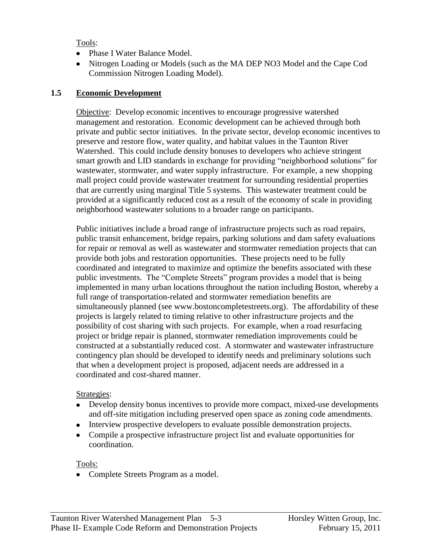Tools:

- Phase I Water Balance Model.
- Nitrogen Loading or Models (such as the MA DEP NO3 Model and the Cape Cod Commission Nitrogen Loading Model).

# **1.5 Economic Development**

Objective: Develop economic incentives to encourage progressive watershed management and restoration. Economic development can be achieved through both private and public sector initiatives. In the private sector, develop economic incentives to preserve and restore flow, water quality, and habitat values in the Taunton River Watershed. This could include density bonuses to developers who achieve stringent smart growth and LID standards in exchange for providing "neighborhood solutions" for wastewater, stormwater, and water supply infrastructure. For example, a new shopping mall project could provide wastewater treatment for surrounding residential properties that are currently using marginal Title 5 systems. This wastewater treatment could be provided at a significantly reduced cost as a result of the economy of scale in providing neighborhood wastewater solutions to a broader range on participants.

Public initiatives include a broad range of infrastructure projects such as road repairs, public transit enhancement, bridge repairs, parking solutions and dam safety evaluations for repair or removal as well as wastewater and stormwater remediation projects that can provide both jobs and restoration opportunities. These projects need to be fully coordinated and integrated to maximize and optimize the benefits associated with these public investments. The "Complete Streets" program provides a model that is being implemented in many urban locations throughout the nation including Boston, whereby a full range of transportation-related and stormwater remediation benefits are simultaneously planned (see www.bostoncompletestreets.org). The affordability of these projects is largely related to timing relative to other infrastructure projects and the possibility of cost sharing with such projects. For example, when a road resurfacing project or bridge repair is planned, stormwater remediation improvements could be constructed at a substantially reduced cost. A stormwater and wastewater infrastructure contingency plan should be developed to identify needs and preliminary solutions such that when a development project is proposed, adjacent needs are addressed in a coordinated and cost-shared manner.

## Strategies:

- Develop density bonus incentives to provide more compact, mixed-use developments and off-site mitigation including preserved open space as zoning code amendments.
- Interview prospective developers to evaluate possible demonstration projects.
- Compile a prospective infrastructure project list and evaluate opportunities for coordination.

Tools:

• Complete Streets Program as a model.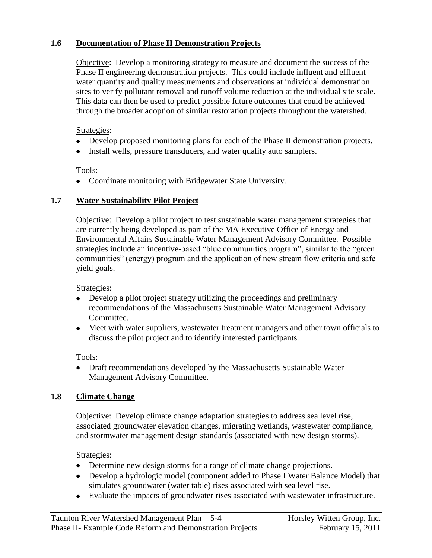# **1.6 Documentation of Phase II Demonstration Projects**

Objective: Develop a monitoring strategy to measure and document the success of the Phase II engineering demonstration projects. This could include influent and effluent water quantity and quality measurements and observations at individual demonstration sites to verify pollutant removal and runoff volume reduction at the individual site scale. This data can then be used to predict possible future outcomes that could be achieved through the broader adoption of similar restoration projects throughout the watershed.

### Strategies:

- Develop proposed monitoring plans for each of the Phase II demonstration projects.
- Install wells, pressure transducers, and water quality auto samplers.

## Tools:

Coordinate monitoring with Bridgewater State University.

# **1.7 Water Sustainability Pilot Project**

Objective: Develop a pilot project to test sustainable water management strategies that are currently being developed as part of the MA Executive Office of Energy and Environmental Affairs Sustainable Water Management Advisory Committee. Possible strategies include an incentive-based "blue communities program", similar to the "green communities" (energy) program and the application of new stream flow criteria and safe yield goals.

## Strategies:

- Develop a pilot project strategy utilizing the proceedings and preliminary recommendations of the Massachusetts Sustainable Water Management Advisory Committee.
- Meet with water suppliers, wastewater treatment managers and other town officials to discuss the pilot project and to identify interested participants.

## Tools:

Draft recommendations developed by the Massachusetts Sustainable Water Management Advisory Committee.

# **1.8 Climate Change**

Objective: Develop climate change adaptation strategies to address sea level rise, associated groundwater elevation changes, migrating wetlands, wastewater compliance, and stormwater management design standards (associated with new design storms).

## Strategies:

- Determine new design storms for a range of climate change projections.
- Develop a hydrologic model (component added to Phase I Water Balance Model) that simulates groundwater (water table) rises associated with sea level rise.
- Evaluate the impacts of groundwater rises associated with wastewater infrastructure.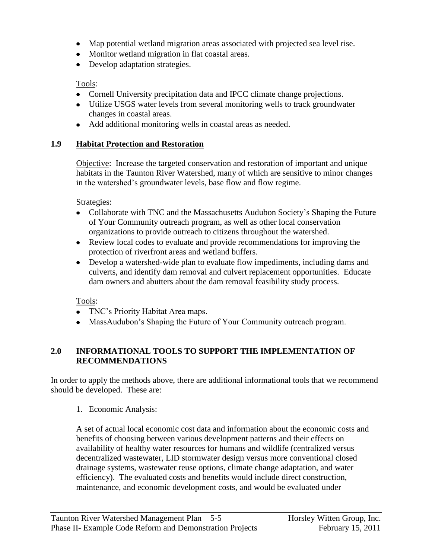- Map potential wetland migration areas associated with projected sea level rise.
- Monitor wetland migration in flat coastal areas.
- Develop adaptation strategies.

# Tools:

- Cornell University precipitation data and IPCC climate change projections.
- Utilize USGS water levels from several monitoring wells to track groundwater changes in coastal areas.
- Add additional monitoring wells in coastal areas as needed.

# **1.9 Habitat Protection and Restoration**

Objective: Increase the targeted conservation and restoration of important and unique habitats in the Taunton River Watershed, many of which are sensitive to minor changes in the watershed's groundwater levels, base flow and flow regime.

Strategies:

- Collaborate with TNC and the Massachusetts Audubon Society's Shaping the Future of Your Community outreach program, as well as other local conservation organizations to provide outreach to citizens throughout the watershed.
- Review local codes to evaluate and provide recommendations for improving the protection of riverfront areas and wetland buffers.
- Develop a watershed-wide plan to evaluate flow impediments, including dams and culverts, and identify dam removal and culvert replacement opportunities. Educate dam owners and abutters about the dam removal feasibility study process.

Tools:

- TNC's Priority Habitat Area maps.
- MassAudubon's Shaping the Future of Your Community outreach program.

# **2.0 INFORMATIONAL TOOLS TO SUPPORT THE IMPLEMENTATION OF RECOMMENDATIONS**

In order to apply the methods above, there are additional informational tools that we recommend should be developed. These are:

# 1. Economic Analysis:

A set of actual local economic cost data and information about the economic costs and benefits of choosing between various development patterns and their effects on availability of healthy water resources for humans and wildlife (centralized versus decentralized wastewater, LID stormwater design versus more conventional closed drainage systems, wastewater reuse options, climate change adaptation, and water efficiency). The evaluated costs and benefits would include direct construction, maintenance, and economic development costs, and would be evaluated under